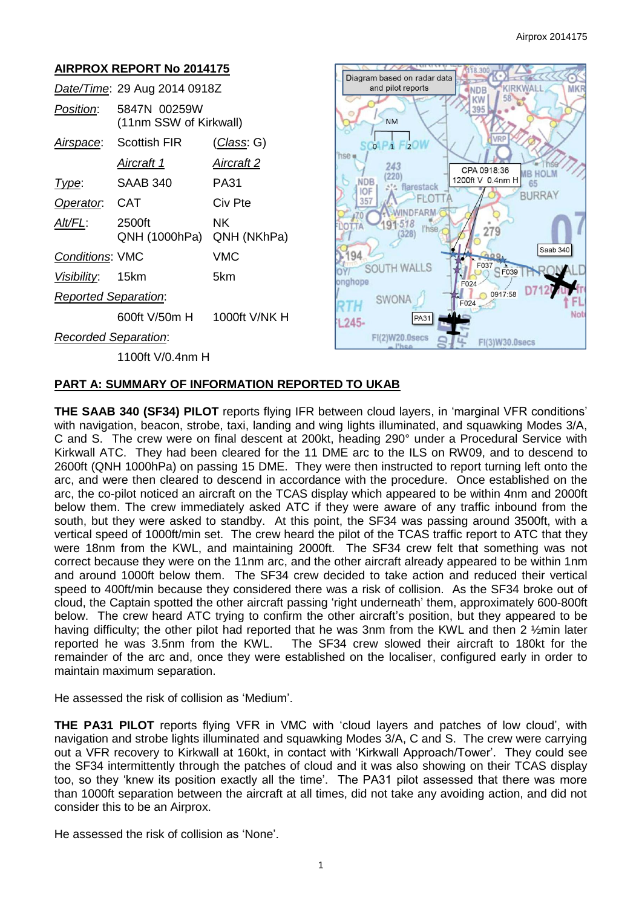# **AIRPROX REPORT No 2014175**

|                             | Date/Time: 29 Aug 2014 0918Z           |                    |
|-----------------------------|----------------------------------------|--------------------|
| <i>Position:</i>            | 5847N 00259W<br>(11nm SSW of Kirkwall) |                    |
| Airspace:                   | Scottish FIR                           | <u>(Class</u> : G) |
|                             | <u>Aircraft 1</u>                      | <u>Aircraft 2</u>  |
| Type:                       | SAAB 340                               | PA31               |
| Operator. CAT               |                                        | Civ Pte            |
| AIt/FL:                     | 2500ft<br>QNH (1000hPa)                | NK.<br>QNH (NKhPa) |
| <b>Conditions: VMC</b>      |                                        | VMC                |
| Visibility: 15km            |                                        | 5km                |
| <b>Reported Separation:</b> |                                        |                    |
|                             | 600ft V/50m H                          | 1000ft V/NK H      |
| Recorded Separation:        |                                        |                    |



1100ft V/0.4nm H

### **PART A: SUMMARY OF INFORMATION REPORTED TO UKAB**

**THE SAAB 340 (SF34) PILOT** reports flying IFR between cloud layers, in 'marginal VFR conditions' with navigation, beacon, strobe, taxi, landing and wing lights illuminated, and squawking Modes 3/A, C and S. The crew were on final descent at 200kt, heading 290° under a Procedural Service with Kirkwall ATC. They had been cleared for the 11 DME arc to the ILS on RW09, and to descend to 2600ft (QNH 1000hPa) on passing 15 DME. They were then instructed to report turning left onto the arc, and were then cleared to descend in accordance with the procedure. Once established on the arc, the co-pilot noticed an aircraft on the TCAS display which appeared to be within 4nm and 2000ft below them. The crew immediately asked ATC if they were aware of any traffic inbound from the south, but they were asked to standby. At this point, the SF34 was passing around 3500ft, with a vertical speed of 1000ft/min set. The crew heard the pilot of the TCAS traffic report to ATC that they were 18nm from the KWL, and maintaining 2000ft. The SF34 crew felt that something was not correct because they were on the 11nm arc, and the other aircraft already appeared to be within 1nm and around 1000ft below them. The SF34 crew decided to take action and reduced their vertical speed to 400ft/min because they considered there was a risk of collision. As the SF34 broke out of cloud, the Captain spotted the other aircraft passing 'right underneath' them, approximately 600-800ft below. The crew heard ATC trying to confirm the other aircraft's position, but they appeared to be having difficulty; the other pilot had reported that he was 3nm from the KWL and then 2 1/2min later reported he was 3.5nm from the KWL. The SF34 crew slowed their aircraft to 180kt for the remainder of the arc and, once they were established on the localiser, configured early in order to maintain maximum separation.

He assessed the risk of collision as 'Medium'.

**THE PA31 PILOT** reports flying VFR in VMC with 'cloud layers and patches of low cloud', with navigation and strobe lights illuminated and squawking Modes 3/A, C and S. The crew were carrying out a VFR recovery to Kirkwall at 160kt, in contact with 'Kirkwall Approach/Tower'. They could see the SF34 intermittently through the patches of cloud and it was also showing on their TCAS display too, so they 'knew its position exactly all the time'. The PA31 pilot assessed that there was more than 1000ft separation between the aircraft at all times, did not take any avoiding action, and did not consider this to be an Airprox.

He assessed the risk of collision as 'None'.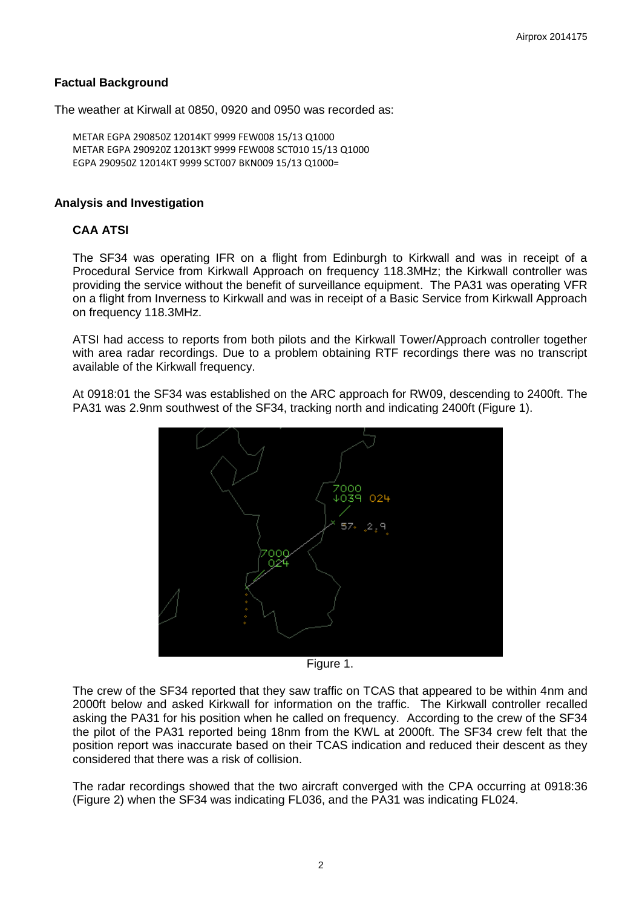### **Factual Background**

The weather at Kirwall at 0850, 0920 and 0950 was recorded as:

 METAR EGPA 290850Z 12014KT 9999 FEW008 15/13 Q1000 METAR EGPA 290920Z 12013KT 9999 FEW008 SCT010 15/13 Q1000 EGPA 290950Z 12014KT 9999 SCT007 BKN009 15/13 Q1000=

### **Analysis and Investigation**

### **CAA ATSI**

The SF34 was operating IFR on a flight from Edinburgh to Kirkwall and was in receipt of a Procedural Service from Kirkwall Approach on frequency 118.3MHz; the Kirkwall controller was providing the service without the benefit of surveillance equipment. The PA31 was operating VFR on a flight from Inverness to Kirkwall and was in receipt of a Basic Service from Kirkwall Approach on frequency 118.3MHz.

ATSI had access to reports from both pilots and the Kirkwall Tower/Approach controller together with area radar recordings. Due to a problem obtaining RTF recordings there was no transcript available of the Kirkwall frequency.

At 0918:01 the SF34 was established on the ARC approach for RW09, descending to 2400ft. The PA31 was 2.9nm southwest of the SF34, tracking north and indicating 2400ft (Figure 1).



Figure 1.

The crew of the SF34 reported that they saw traffic on TCAS that appeared to be within 4nm and 2000ft below and asked Kirkwall for information on the traffic. The Kirkwall controller recalled asking the PA31 for his position when he called on frequency. According to the crew of the SF34 the pilot of the PA31 reported being 18nm from the KWL at 2000ft. The SF34 crew felt that the position report was inaccurate based on their TCAS indication and reduced their descent as they considered that there was a risk of collision.

The radar recordings showed that the two aircraft converged with the CPA occurring at 0918:36 (Figure 2) when the SF34 was indicating FL036, and the PA31 was indicating FL024.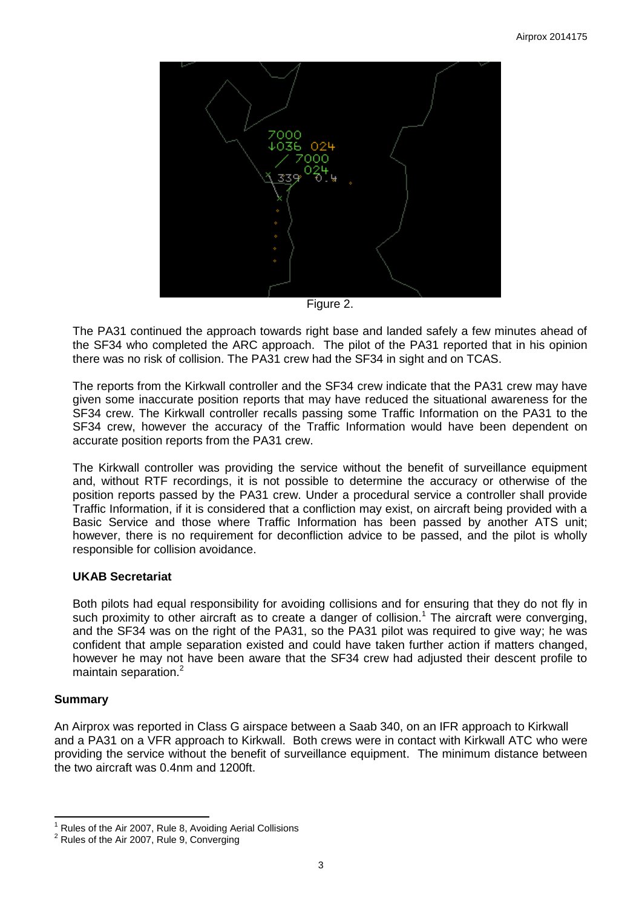

Figure 2.

The PA31 continued the approach towards right base and landed safely a few minutes ahead of the SF34 who completed the ARC approach. The pilot of the PA31 reported that in his opinion there was no risk of collision. The PA31 crew had the SF34 in sight and on TCAS.

The reports from the Kirkwall controller and the SF34 crew indicate that the PA31 crew may have given some inaccurate position reports that may have reduced the situational awareness for the SF34 crew. The Kirkwall controller recalls passing some Traffic Information on the PA31 to the SF34 crew, however the accuracy of the Traffic Information would have been dependent on accurate position reports from the PA31 crew.

The Kirkwall controller was providing the service without the benefit of surveillance equipment and, without RTF recordings, it is not possible to determine the accuracy or otherwise of the position reports passed by the PA31 crew. Under a procedural service a controller shall provide Traffic Information, if it is considered that a confliction may exist, on aircraft being provided with a Basic Service and those where Traffic Information has been passed by another ATS unit; however, there is no requirement for deconfliction advice to be passed, and the pilot is wholly responsible for collision avoidance.

## **UKAB Secretariat**

Both pilots had equal responsibility for avoiding collisions and for ensuring that they do not fly in such proximity to other aircraft as to create a danger of collision.<sup>1</sup> The aircraft were converging, and the SF34 was on the right of the PA31, so the PA31 pilot was required to give way; he was confident that ample separation existed and could have taken further action if matters changed, however he may not have been aware that the SF34 crew had adjusted their descent profile to maintain separation.<sup>2</sup>

## **Summary**

 $\overline{\phantom{a}}$ 

An Airprox was reported in Class G airspace between a Saab 340, on an IFR approach to Kirkwall and a PA31 on a VFR approach to Kirkwall. Both crews were in contact with Kirkwall ATC who were providing the service without the benefit of surveillance equipment. The minimum distance between the two aircraft was 0.4nm and 1200ft.

<sup>1</sup> Rules of the Air 2007, Rule 8, Avoiding Aerial Collisions

<sup>&</sup>lt;sup>2</sup> Rules of the Air 2007, Rule 9, Converging